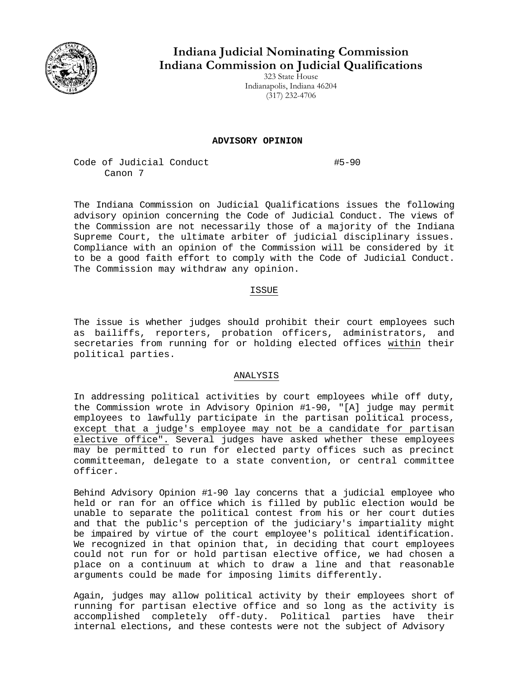

**Indiana Judicial Nominating Commission Indiana Commission on Judicial Qualifications** 

323 State House Indianapolis, Indiana 46204 (317) 232-4706

## **ADVISORY OPINION**

Code of Judicial Conduct #5-90 Canon 7

The Indiana Commission on Judicial Qualifications issues the following advisory opinion concerning the Code of Judicial Conduct. The views of the Commission are not necessarily those of a majority of the Indiana Supreme Court, the ultimate arbiter of judicial disciplinary issues. Compliance with an opinion of the Commission will be considered by it to be a good faith effort to comply with the Code of Judicial Conduct. The Commission may withdraw any opinion.

## ISSUE

The issue is whether judges should prohibit their court employees such as bailiffs, reporters, probation officers, administrators, and secretaries from running for or holding elected offices within their political parties.

## ANALYSIS

In addressing political activities by court employees while off duty, the Commission wrote in Advisory Opinion #1-90, "[A] judge may permit employees to lawfully participate in the partisan political process, except that a judge's employee may not be a candidate for partisan elective office". Several judges have asked whether these employees may be permitted to run for elected party offices such as precinct committeeman, delegate to a state convention, or central committee officer.

Behind Advisory Opinion #1-90 lay concerns that a judicial employee who held or ran for an office which is filled by public election would be unable to separate the political contest from his or her court duties and that the public's perception of the judiciary's impartiality might be impaired by virtue of the court employee's political identification. We recognized in that opinion that, in deciding that court employees could not run for or hold partisan elective office, we had chosen a place on a continuum at which to draw a line and that reasonable arguments could be made for imposing limits differently.

Again, judges may allow political activity by their employees short of running for partisan elective office and so long as the activity is accomplished completely off-duty. Political parties have their internal elections, and these contests were not the subject of Advisory